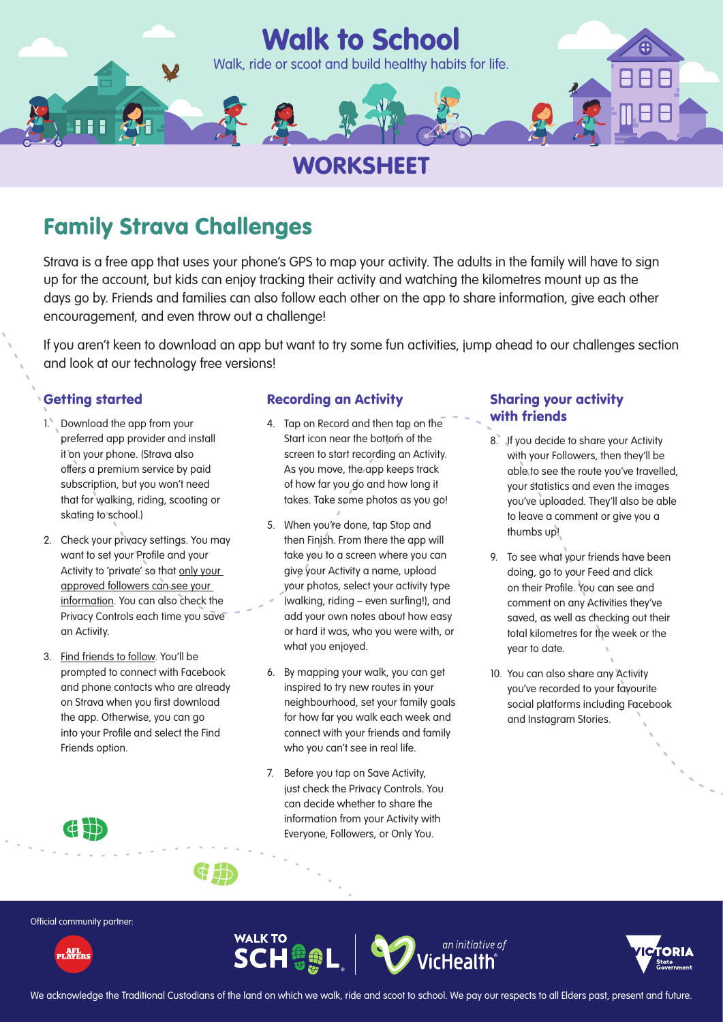

## **WORKSHEET**

# Family Strava Challenges

Strava is a free app that uses your phone's GPS to map your activity. The adults in the family will have to sign up for the account, but kids can enjoy tracking their activity and watching the kilometres mount up as the days go by. Friends and families can also follow each other on the app to share information, give each other encouragement, and even throw out a challenge!

If you aren't keen to download an app but want to try some fun activities, jump ahead to our challenges section and look at our technology free versions!

## Getting started

- 1. Download the app from your preferred app provider and install it on your phone. (Strava also offers a premium service by paid subscription, but you won't need that for walking, riding, scooting or skating to school.)
- 2. Check your privacy settings. You may want to set your Profile and your Activity to 'private' so that [only your](https://support.strava.com/hc/en-us/articles/207343930-Privacy-Controls)  [approved followers can see your](https://support.strava.com/hc/en-us/articles/207343930-Privacy-Controls)  [information.](https://support.strava.com/hc/en-us/articles/207343930-Privacy-Controls) You can also check the Privacy Controls each time you save an Activity.
- 3. [Find friends to follow.](https://support.strava.com/hc/en-us/articles/216919127-Finding-Friends-and-Managing-Contacts-on-Strava) You'll be prompted to connect with Facebook and phone contacts who are already on Strava when you first download the app. Otherwise, you can go into your Profile and select the Find Friends option.

\$

## Recording an Activity

- 4. Tap on Record and then tap on the Start icon near the bottom of the screen to start recording an Activity. As you move, the app keeps track of how far you go and how long it takes. Take some photos as you go!
- 5. When you're done, tap Stop and then Finish. From there the app will take you to a screen where you can give your Activity a name, upload your photos, select your activity type (walking, riding – even surfing!), and add your own notes about how easy or hard it was, who you were with, or what you enjoyed.
- 6. By mapping your walk, you can get inspired to try new routes in your neighbourhood, set your family goals for how far you walk each week and connect with your friends and family who you can't see in real life.
- 7. Before you tap on Save Activity, just check the Privacy Controls. You can decide whether to share the information from your Activity with Everyone, Followers, or Only You.

## Sharing your activity with friends

- 8. If you decide to share your Activity with your Followers, then they'll be able to see the route you've travelled, your statistics and even the images you've uploaded. They'll also be able to leave a comment or give you a thumbs up!
- 9. To see what your friends have been doing, go to your Feed and click on their Profile. You can see and comment on any Activities they've saved, as well as checking out their total kilometres for the week or the year to date.
- 10. You can also share any Activity you've recorded to your favourite social platforms including Facebook and Instagram Stories.



Official community partner:





**SCH SEL**